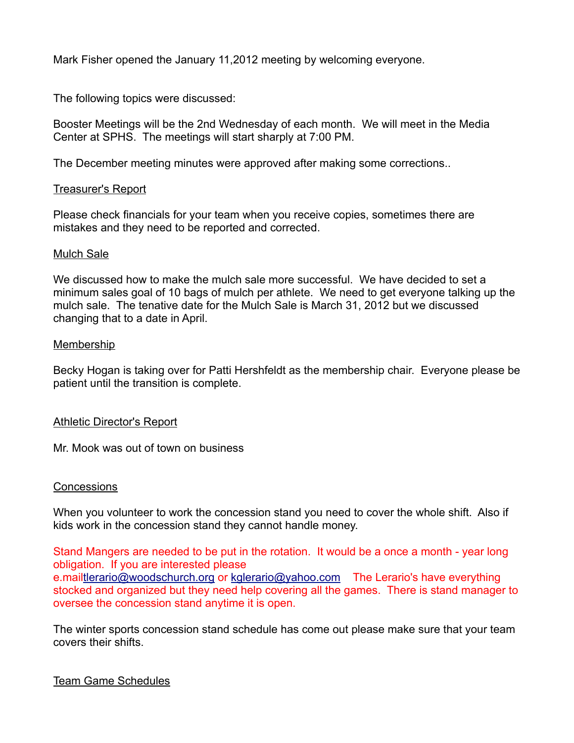Mark Fisher opened the January 11,2012 meeting by welcoming everyone.

The following topics were discussed:

Booster Meetings will be the 2nd Wednesday of each month. We will meet in the Media Center at SPHS. The meetings will start sharply at 7:00 PM.

The December meeting minutes were approved after making some corrections..

#### Treasurer's Report

Please check financials for your team when you receive copies, sometimes there are mistakes and they need to be reported and corrected.

#### Mulch Sale

We discussed how to make the mulch sale more successful. We have decided to set a minimum sales goal of 10 bags of mulch per athlete. We need to get everyone talking up the mulch sale. The tenative date for the Mulch Sale is March 31, 2012 but we discussed changing that to a date in April.

#### Membership

Becky Hogan is taking over for Patti Hershfeldt as the membership chair. Everyone please be patient until the transition is complete.

## Athletic Director's Report

Mr. Mook was out of town on business

## **Concessions**

When you volunteer to work the concession stand you need to cover the whole shift. Also if kids work in the concession stand they cannot handle money.

Stand Mangers are needed to be put in the rotation. It would be a once a month - year long obligation. If you are interested please e.mailtlerario@woodschurch.org or kglerario@yahoo.com The Lerario's have everything stocked and organized but they need help covering all the games. There is stand manager to oversee the concession stand anytime it is open.

The winter sports concession stand schedule has come out please make sure that your team covers their shifts.

## Team Game Schedules